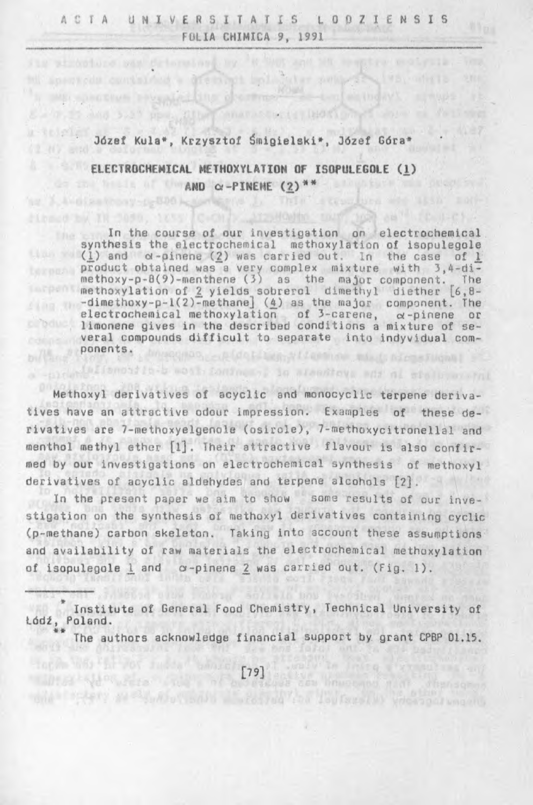stringt both star swings

canavascuctu visori onud sione

its strophure sam drivesing by 'W Suppland Mt See

as A-4-disatrony-o-500 headth in This firmed by TH Sadd, tess C-Oh) Atzeloate aus

ell sonysoda contained a di

u-seletes

# Józef Kula\*, Krzysztof Śmigielski\*, Józef Góra\*

# ELECTROCHEMICAL METHOXYLATION OF ISOPULEGOLE (1)  $AND \alpha-PINENE (2)$ <sup>\*\*</sup>

In the course of our investigation on electrochemical synthesis the electrochemical methoxylation of isopulegole (<u>1</u>) and  $\alpha$ -pinene (<u>2</u>) was carried out. In the case of <u>1</u> product obtained was a very complex mixture with 3,4-dimethoxy-p-0(9)-menthene (3) as the major component. The methoxylation of 2 yields sobrerol dimethyl diether  $[6,8-$ -dimethoxy-p-l(2)-methane] (£) as the major component. The electrochemical methoxylation of 3-carene,  $\alpha$ -pinene or limonene gives in the described conditions a mixture of several compounds difficult to separate into indyvidual components. Mesquan callentian, villamine mint are student

Methoxyl derivatives of acyclic and monocyclic terpene derivatives have an attractive odour impression. Examples of these derivatives are 7-methoxyelgenole (osirole), 7-methoxycitronellal and menthol methyl ether [1]. Their attractive flavour is also confirmed by our investigations on electrochemical synthesis of methoxyl derivatives of acyclic aldehydes and terpene alcohols [2].

-prove foroiding the work contract, is alsofted was al stale worked

In the present paper we aim to show some results of our investigation on the synthesis of methoxyl derivatives containing cyclic (p-methane) carbon skeleton. Taking into account these assumptions and availability of raw materials the electrochemical methoxylation of isopulegole 1 and c-pinene 2 was carried out. (Fig. 1).

\* Institute of General Food Chemistry, Technical University of Łódź, Poland.

The authors acknowledge financial support by grant CPBP 01.15.

 $[79]$ 

one there are habe and the contract of the face of viewed and wagen,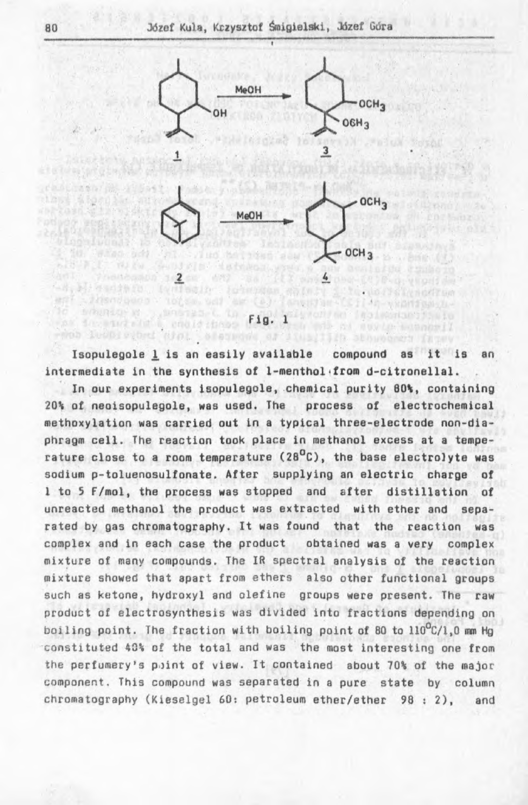

read included with the consequence of itemilian abovement farmy Isopulegole 1 is an easily available compound as it is an intermediate in the synthesis of 1-menthol from d-citronellal.

ic educators considered to fig. 1 wellow included the energy

In our experiments Isopulegole, chemical purity 80%, containing 20% of neoisopulegole, was used. The process of electrochemical methoxylation was carried out in a typical three-electrode non-diaphragm cell. The reaction took place in methanol excess at a temperature close to a room temperature (28 $^0$ C), the base electrolyte was sodium p-toluenosulfonate. After supplying an electric charge of 1 to 5 F/mol, the process was stopped and after distillation of unreacted methanol the product was extracted with ether and separated by gas chromatography. It was found that the reaction was complex and in each case the product obtained was a very complex mixture of many compounds. The IR spectral analysis of the reaction mixture showed that apart from ethers also other functional groups such as ketone, hydroxyl and olefine groups were present. The raw product of electrosynthesis was divided into fractions depending on boiling point. The fraction with boiling point of 80 to  $110^{\circ}$ C/1,0 mm Hg constituted 40% of the total and was the most interesting one from the perfumery's point of view. It contained about 70% of the major component. This compound was separated in a pure state by column chromatography (Kieselgel 60: petroleum ether/ether 98:2), and

CRALL A Way Ob

**Pod CEO AFR**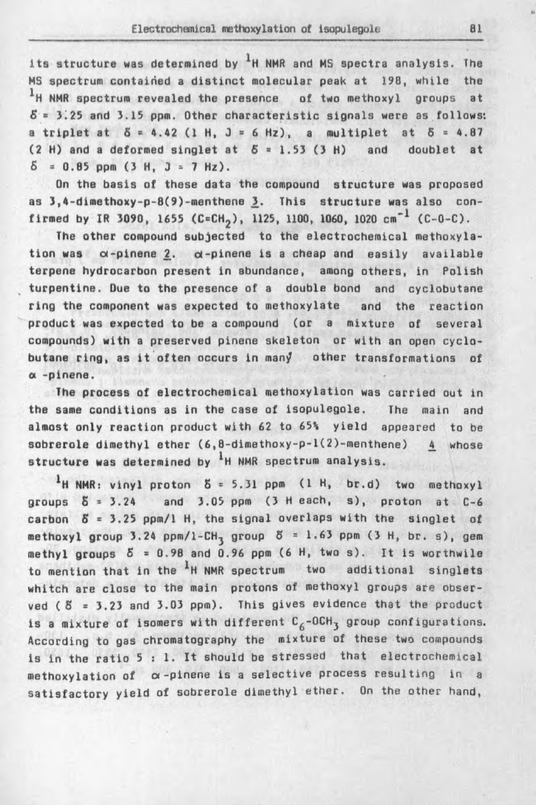### Electrochemical methoxylation of isopulegole

its structure was determined by  ${}^{1}H$  NMR and MS spectra analysis. The MS spectrum contained a distinct molecular peak at 198, while the <sup>1</sup>H NMR spectrum revealed the presence of two methoxyl groups at  $5 = 3.25$  and  $3.15$  ppm. Other characteristic signals were as follows: a triplet at  $5 = 4.42$  (1 H, J = 6 Hz), a multiplet at  $5 = 4.87$  $(2 H)$  and a deformed singlet at  $5 = 1.53$  (3 H) and doublet at  $\delta = 0.85$  ppm (3 H, J = 7 Hz).

On the basis of these data the compound structure was proposed as 3,4-dimethoxy-p-8(9)-menthene 3. This structure was also confirmed by IR 3090, 1655 (C=CH<sub>2</sub>), 1125, 1100, 1060, 1020 cm<sup>-1</sup> (C-0-C).

The other compound subjected to the electrochemical methoxylation was  $\alpha$ -pinene  $2. \alpha$ -pinene is a cheap and easily available terpene hydrocarbon present in abundance, among others, in Polish turpentine. Due to the presence of a double bond and cyclobutane ring the component was expected to methoxylate and the reaction product was expected to be a compound (or a mixture of several compounds) with a preserved pinene skeleton or with an open cyclobutane ring, as it often occurs in man/ other transformations of *a* -pinene.

The process of electrochemical methoxylation was carried out in the same conditions as in the case of isopulegole. The main and almost only reaction product with 62 to 65% yield appeared to be sobrerole dimethyl ether  $(6, 8$ -dimethoxy-p-1 $(2)$ -menthene) 4 whose structure was determined by  $1$ H NMR spectrum analysis.

 $<sup>1</sup>$ H NMR: vinyl proton  $5 = 5.31$  ppm (1 H, br.d) two methoxyl</sup> groups  $\delta = 3.24$  and  $3.05$  ppm  $(3 + 1)$  each, s), proton at  $C-6$ carbon  $S = 3.25$  ppm/1 H, the signal overlaps with the singlet of methoxyl group 3.24 ppm/l-CH<sub>3</sub> group  $5 = 1.63$  ppm (3 H, br. s), gem methyl groups  $5 = 0.98$  and 0.96 ppm (6 H, two s). It is worthwile to mention that in the  $\frac{1}{H}$  NMR spectrum two additional singlets whitch are close to the main protons of methoxyl groups are observed  $(8 = 3.23$  and  $3.03$  ppm). This gives evidence that the product is a mixture of isomers with different  $C_6$ -OCH<sub>3</sub> group configurations. According to gas chromatography the mixture of these two compounds is in the ratio 5 : 1. It should be stressed that electrochemical methoxylation of  $\alpha$ -pinene is a selective process resulting in a satisfactory yield of sobrerole dimethyl ether. On the other hand,

81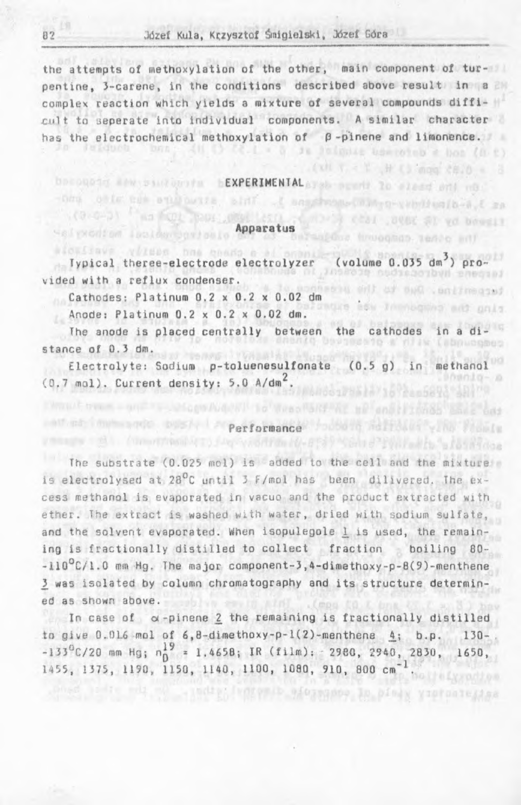## Józef Kula, Krzysztof Śmigielski, Józef Góra

the attempts of methoxylation of the other, main component of turpentine, 3-carene, in the conditions described above result in a complex reaction which yields a mixture of several compounds difficult to seperate into individual components. A similar character has the electrochemical methoxylation of  $\beta$ -pinene and limonence.

3%

luinis tempoins a bon (n c) xH T = Y + H (3 mpg 28.0 = 3

trooghop, tende any

lo sleed onl no

vibilian b-a t sa . SUBE ST yd brosil

# becomed a webset begins bEXPERIMENTAL are specific

#### Apparatus

alouiswe .vizees and coase a al Typical theree-electrode electrolyzer (volume 0.035 dm<sup>3</sup>) provided with a reflux condenser. an will or much and measur

Cathodes: Platinum 0.2 x 0.2 x 0.02 dm

other the statuents shift it ass

Anode: Platinum 0.2 x 0.2 x 0.02 dm.

HalyModian inclowrooriania

The anode is placed centrally between the cathodes in a distance of 0.3 dm.

Electrolyte: Sodium p-toluenesulfonate (0.5 g) in methanol  $(0.7 \text{ mol})$ . Current density: 5.0 A/dm<sup>2</sup>.  $000010 - n$ 

# performance found hel

(Universidate) Jagovan Hamburg Bay Mahad Tiwiladin "alasandan

**TELLOLOGICAL LO WASSIGNERS** 

The substrate  $(0.025 \text{ mol})$  is added to the cell and the mixture is electrolysed at  $28^{\circ}$ C until 3 F/mol has been dilivered. The excess methanol is evaporated in vacuo and the product extracted with ether. The extract is washed with water, dried with sodium sulfate, and the solvent evaporated. When isopulegole  $1$  is used, the remaining is fractionally distilled to collect fraction boiling 80--110°C/1.0 mm Hg, The major component-3,4-dimethoxy-p-8(9)-menthene 2 was isolated by column chromatography and its structure determined as shown above.

In case of  $\alpha$ -pinene  $\frac{2}{3}$  the remaining is fractionally distilled to give 0.016 mol of  $6,8$ -dimethoxy-p-1(2)-menthene  $4$ ; b.p. 130-.  $-133^0$ C/20 mm Hg;  $n_0^{19}$  = 1.4658; IR (film): 2980, 2940, 2830, 1650, 1455, 1375, 1190, 1150, 1140, 1100, 1080, 910, 800 cm<sup>-1</sup>.

 $B2$